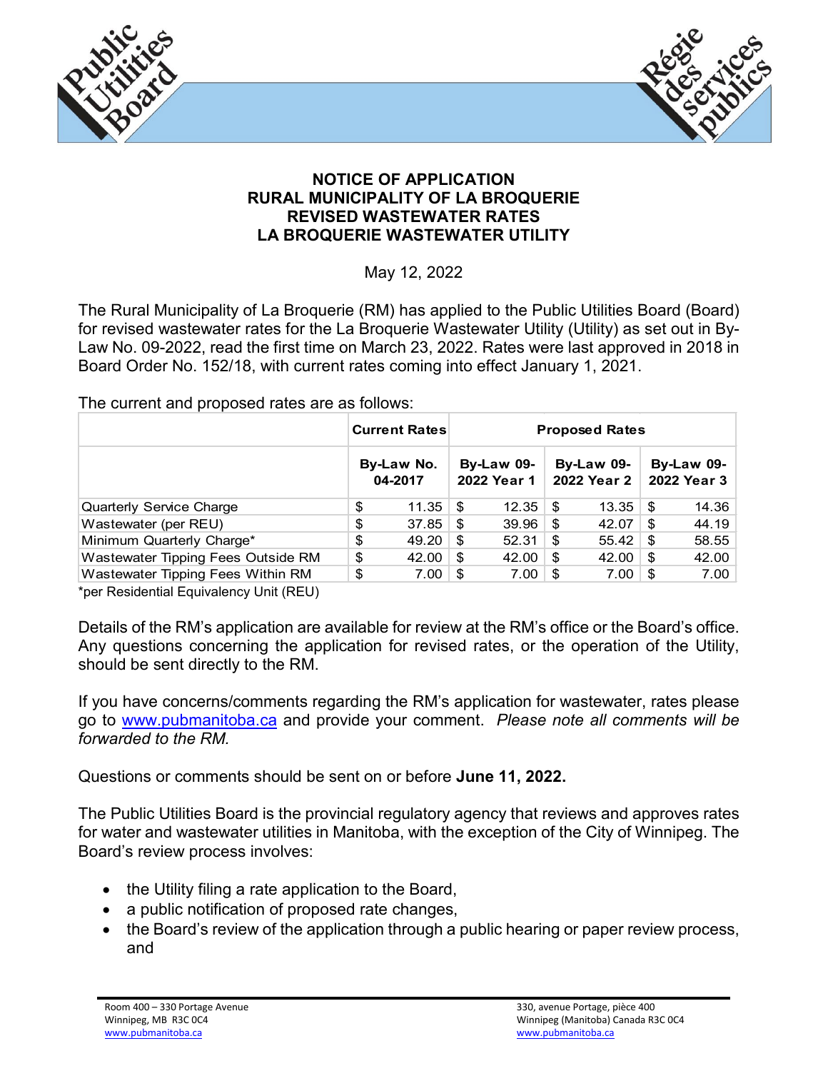



## **NOTICE OF APPLICATION RURAL MUNICIPALITY OF LA BROQUERIE REVISED WASTEWATER RATES LA BROQUERIE WASTEWATER UTILITY**

May 12, 2022

The Rural Municipality of La Broquerie (RM) has applied to the Public Utilities Board (Board) for revised wastewater rates for the La Broquerie Wastewater Utility (Utility) as set out in By-Law No. 09-2022, read the first time on March 23, 2022. Rates were last approved in 2018 in Board Order No. 152/18, with current rates coming into effect January 1, 2021.

The current and proposed rates are as follows:

|                                    |                       | <b>Current Rates</b> | <b>Proposed Rates</b>            |               |                           |       |                           |       |
|------------------------------------|-----------------------|----------------------|----------------------------------|---------------|---------------------------|-------|---------------------------|-------|
|                                    | By-Law No.<br>04-2017 |                      | <b>By-Law 09-</b><br>2022 Year 1 |               | By-Law 09-<br>2022 Year 2 |       | By-Law 09-<br>2022 Year 3 |       |
| <b>Quarterly Service Charge</b>    | \$                    | 11.35                | \$                               | $12.35 \pm 1$ |                           | 13.35 | - \$                      | 14.36 |
| Wastewater (per REU)               | \$                    | 37.85                | \$.                              | 39.96         | \$                        | 42.07 | \$                        | 44.19 |
| Minimum Quarterly Charge*          | \$                    | 49.20                | \$.                              | 52.31         | \$.                       | 55.42 | S                         | 58.55 |
| Wastewater Tipping Fees Outside RM | \$                    | 42.00                | \$                               | 42.00         | \$                        | 42.00 | S                         | 42.00 |
| Wastewater Tipping Fees Within RM  | \$                    | 7.00                 | \$.                              | 7.00          | - \$                      | 7.00  | S                         | 7.00  |

\*per Residential Equivalency Unit (REU)

Details of the RM's application are available for review at the RM's office or the Board's office. Any questions concerning the application for revised rates, or the operation of the Utility, should be sent directly to the RM.

If you have concerns/comments regarding the RM's application for wastewater, rates please go to [www.pubmanitoba.ca](http://www.pubmanitoba.ca/) and provide your comment. *Please note all comments will be forwarded to the RM.*

Questions or comments should be sent on or before **June 11, 2022.**

The Public Utilities Board is the provincial regulatory agency that reviews and approves rates for water and wastewater utilities in Manitoba, with the exception of the City of Winnipeg. The Board's review process involves:

- the Utility filing a rate application to the Board,
- a public notification of proposed rate changes,
- the Board's review of the application through a public hearing or paper review process, and